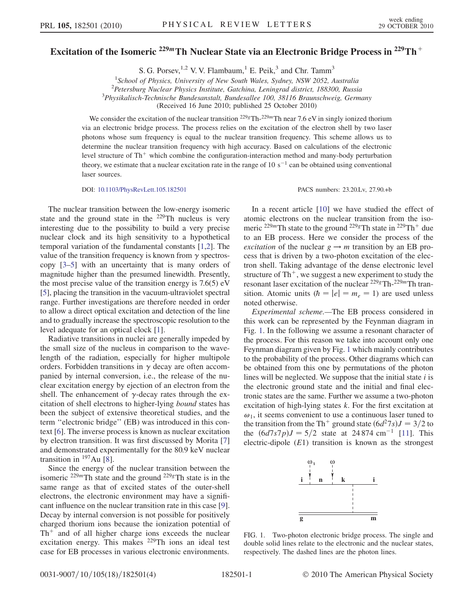## Excitation of the Isomeric <sup>229</sup>*m*Th Nuclear State via an Electronic Bridge Process in <sup>229</sup>Th<sup>+</sup>

S. G. Porsev,  $^{1,2}$  V. V. Flambaum, <sup>1</sup> E. Peik, <sup>3</sup> and Chr. Tamm<sup>3</sup>

<sup>1</sup>School of Physics, University of New South Wales, Sydney, NSW 2052, Australia<br><sup>2</sup>Petersburg Nuclear Physics Institute Gatching, Leningrad district 188300, Pussi

<sup>2</sup>Petersburg Nuclear Physics Institute, Gatchina, Leningrad district, 188300, Russia

 $3$ Physikalisch-Technische Bundesanstalt, Bundesallee 100, 38116 Braunschweig, Germany

(Received 16 June 2010; published 25 October 2010)

We consider the excitation of the nuclear transition  $2^{29}$ gTh- $2^{29}$ mTh near 7.6 eV in singly ionized thorium via an electronic bridge process. The process relies on the excitation of the electron shell by two laser photons whose sum frequency is equal to the nuclear transition frequency. This scheme allows us to determine the nuclear transition frequency with high accuracy. Based on calculations of the electronic level structure of  $Th<sup>+</sup>$  which combine the configuration-interaction method and many-body perturbation theory, we estimate that a nuclear excitation rate in the range of 10  $s^{-1}$  can be obtained using conventional laser sources.

DOI: [10.1103/PhysRevLett.105.182501](http://dx.doi.org/10.1103/PhysRevLett.105.182501) PACS numbers: 23.20.Lv, 27.90.+b

The nuclear transition between the low-energy isomeric state and the ground state in the 229Th nucleus is very interesting due to the possibility to build a very precise nuclear clock and its high sensitivity to a hypothetical temporal variation of the fundamental constants [[1](#page-3-0),[2\]](#page-3-1). The value of the transition frequency is known from  $\gamma$  spectroscopy [[3](#page-3-2)[–5](#page-3-3)] with an uncertainty that is many orders of magnitude higher than the presumed linewidth. Presently, the most precise value of the transition energy is  $7.6(5)$  eV [\[5](#page-3-3)], placing the transition in the vacuum-ultraviolet spectral range. Further investigations are therefore needed in order to allow a direct optical excitation and detection of the line and to gradually increase the spectroscopic resolution to the level adequate for an optical clock [\[1](#page-3-0)].

Radiative transitions in nuclei are generally impeded by the small size of the nucleus in comparison to the wavelength of the radiation, especially for higher multipole orders. Forbidden transitions in  $\gamma$  decay are often accompanied by internal conversion, i.e., the release of the nuclear excitation energy by ejection of an electron from the shell. The enhancement of  $\gamma$ -decay rates through the excitation of shell electrons to higher-lying bound states has been the subject of extensive theoretical studies, and the term ''electronic bridge'' (EB) was introduced in this context [\[6\]](#page-3-4). The inverse process is known as nuclear excitation by electron transition. It was first discussed by Morita [\[7\]](#page-3-5) and demonstrated experimentally for the 80.9 keV nuclear transition in  $197$  Au [[8\]](#page-3-6).

Since the energy of the nuclear transition between the isomeric  $229m$ Th state and the ground  $229g$ Th state is in the same range as that of excited states of the outer-shell electrons, the electronic environment may have a significant influence on the nuclear transition rate in this case [[9\]](#page-3-7). Decay by internal conversion is not possible for positively charged thorium ions because the ionization potential of  $Th<sup>+</sup>$  and of all higher charge ions exceeds the nuclear excitation energy. This makes 229Th ions an ideal test case for EB processes in various electronic environments.

In a recent article [\[10\]](#page-3-8) we have studied the effect of atomic electrons on the nuclear transition from the isomeric <sup>229m</sup>Th state to the ground <sup>229g</sup>Th state in <sup>229</sup>Th<sup>+</sup> due to an EB process. Here we consider the process of the excitation of the nuclear  $g \rightarrow m$  transition by an EB process that is driven by a two-photon excitation of the electron shell. Taking advantage of the dense electronic level structure of  $Th^+$ , we suggest a new experiment to study the resonant laser excitation of the nuclear  $229gTh-229mTh$  transition. Atomic units  $(h = |e| = m_e = 1)$  are used unless noted otherwise.

Experimental scheme.—The EB process considered in this work can be represented by the Feynman diagram in Fig. [1.](#page-0-0) In the following we assume a resonant character of the process. For this reason we take into account only one Feynman diagram given by Fig. [1](#page-0-0) which mainly contributes to the probability of the process. Other diagrams which can be obtained from this one by permutations of the photon lines will be neglected. We suppose that the initial state  $i$  is the electronic ground state and the initial and final electronic states are the same. Further we assume a two-photon excitation of high-lying states k. For the first excitation at  $\omega_1$ , it seems convenient to use a continuous laser tuned to the transition from the Th<sup>+</sup> ground state  $\left(\frac{6d^2}{7s}\right)J = \frac{3}{2}$  to the  $(6d7s7p)J = 5/2$  state at 24 874 cm<sup>-1</sup> [[11](#page-3-9)]. This electric-dipole  $(E1)$  transition is known as the strongest

<span id="page-0-0"></span>

FIG. 1. Two-photon electronic bridge process. The single and double solid lines relate to the electronic and the nuclear states, respectively. The dashed lines are the photon lines.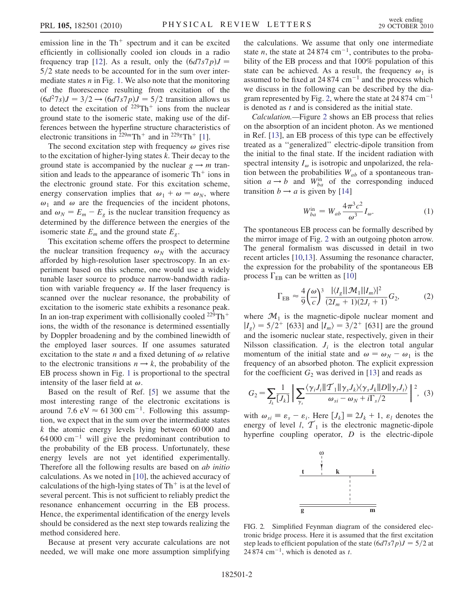emission line in the  $Th<sup>+</sup>$  spectrum and it can be excited efficiently in collisionally cooled ion clouds in a radio frequency trap [[12\]](#page-3-10). As a result, only the  $\left(\frac{6d7s7p}{J} - \frac{6d7s7p}{J}\right)$  $5/2$  state needs to be accounted for in the sum over intermediate states  $n$  in Fig. [1](#page-0-0). We also note that the monitoring of the fluorescence resulting from excitation of the  $\left(\frac{6d^27s}{J} = \frac{3}{2} \rightarrow \frac{6d7s}{D} \right)$  = 5/2 transition allows us to detect the excitation of  $229 \text{Th}^+$  ions from the nuclear ground state to the isomeric state, making use of the differences between the hyperfine structure characteristics of electronic transitions in  $229mTh^{+}$  and in  $229gTh^{+}$  [[1](#page-3-0)].

The second excitation step with frequency  $\omega$  gives rise to the excitation of higher-lying states  $k$ . Their decay to the ground state is accompanied by the nuclear  $g \rightarrow m$  transition and leads to the appearance of isomeric  $Th<sup>+</sup>$  ions in the electronic ground state. For this excitation scheme, energy conservation implies that  $\omega_1 + \omega = \omega_N$ , where  $\omega_1$  and  $\omega$  are the frequencies of the incident photons, and  $\omega_N = E_m - E_g$  is the nuclear transition frequency as determined by the difference between the energies of the isomeric state  $E_m$  and the ground state  $E_g$ .

This excitation scheme offers the prospect to determine the nuclear transition frequency  $\omega_N$  with the accuracy afforded by high-resolution laser spectroscopy. In an experiment based on this scheme, one would use a widely tunable laser source to produce narrow-bandwidth radiation with variable frequency  $\omega$ . If the laser frequency is scanned over the nuclear resonance, the probability of excitation to the isomeric state exhibits a resonance peak. In an ion-trap experiment with collisionally cooled  $^{229}Th^+$ ions, the width of the resonance is determined essentially by Doppler broadening and by the combined linewidth of the employed laser sources. If one assumes saturated excitation to the state *n* and a fixed detuning of  $\omega$  relative to the electronic transitions  $n \rightarrow k$ , the probability of the EB process shown in Fig. [1](#page-0-0) is proportional to the spectral intensity of the laser field at  $\omega$ .

Based on the result of Ref. [[5](#page-3-3)] we assume that the most interesting range of the electronic excitations is around 7.6 eV  $\approx 61300 \text{ cm}^{-1}$ . Following this assumption, we expect that in the sum over the intermediate states  $k$  the atomic energy levels lying between 60 000 and  $64,000 \text{ cm}^{-1}$  will give the predominant contribution to the probability of the EB process. Unfortunately, these energy levels are not yet identified experimentally. Therefore all the following results are based on ab initio calculations. As we noted in [\[10\]](#page-3-8), the achieved accuracy of calculations of the high-lying states of  $Th<sup>+</sup>$  is at the level of several percent. This is not sufficient to reliably predict the resonance enhancement occurring in the EB process. Hence, the experimental identification of the energy levels should be considered as the next step towards realizing the method considered here.

Because at present very accurate calculations are not needed, we will make one more assumption simplifying the calculations. We assume that only one intermediate state *n*, the state at 24 874 cm<sup>-1</sup>, contributes to the probability of the EB process and that 100% population of this state can be achieved. As a result, the frequency  $\omega_1$  is assumed to be fixed at  $24874 \text{ cm}^{-1}$  and the process which we discuss in the following can be described by the dia-gram represented by Fig. [2](#page-1-0), where the state at  $24874 \text{ cm}^{-1}$ is denoted as t and is considered as the initial state.

Calculation.—Figure [2](#page-1-0) shows an EB process that relies on the absorption of an incident photon. As we mentioned in Ref. [\[13\]](#page-3-11), an EB process of this type can be effectively treated as a ''generalized'' electric-dipole transition from the initial to the final state. If the incident radiation with spectral intensity  $I_{\omega}$  is isotropic and unpolarized, the relation between the probabilities  $W_{ab}$  of a spontaneous transition  $a \rightarrow b$  and  $W_{ba}^{in}$  of the corresponding induced transition  $b \rightarrow a$  is given by [[14](#page-3-12)]

$$
W_{ba}^{\text{in}} = W_{ab} \frac{4\pi^3 c^2}{\omega^3} I_{\omega}.
$$
 (1)

<span id="page-1-2"></span>The spontaneous EB process can be formally described by the mirror image of Fig. [2](#page-1-0) with an outgoing photon arrow. The general formalism was discussed in detail in two recent articles [[10,](#page-3-8)[13](#page-3-11)]. Assuming the resonance character, the expression for the probability of the spontaneous EB process  $\Gamma_{EB}$  can be written as [\[10](#page-3-8)]

$$
\Gamma_{EB} \approx \frac{4}{9} \left(\frac{\omega}{c}\right)^3 \frac{|\langle I_g || \mathcal{M}_1 || I_m \rangle|^2}{(2I_m + 1)(2J_t + 1)} G_2,\tag{2}
$$

where  $\mathcal{M}_1$  is the magnetic-dipole nuclear moment and  $|I_g\rangle = 5/2^+$  [633] and  $|I_m\rangle = 3/2^+$  [631] are the ground and the isomeric nuclear state, respectively, given in their Nilsson classification.  $J_i$  is the electron total angular momentum of the initial state and  $\omega = \omega_N - \omega_1$  is the frequency of an absorbed photon. The explicit expression for the coefficient  $G_2$  was derived in [[13\]](#page-3-11) and reads as

<span id="page-1-1"></span>
$$
G_2 = \sum_{J_k} \frac{1}{[J_k]} \left| \sum_{\gamma_s} \frac{\langle \gamma_i J_i || \mathcal{T}_1 || \gamma_s J_k \rangle \langle \gamma_s J_k || D || \gamma_t J_i \rangle}{\omega_{si} - \omega_N + i \Gamma_s / 2} \right|^2, \tag{3}
$$

<span id="page-1-0"></span>with  $\omega_{si} \equiv \varepsilon_s - \varepsilon_i$ . Here  $[J_k] \equiv 2J_k + 1$ ,  $\varepsilon_i$  denotes the energy of level *l*,  $\mathcal{T}_1$  is the electronic magnetic-dipole hyperfine coupling operator,  $D$  is the electric-dipole



FIG. 2. Simplified Feynman diagram of the considered electronic bridge process. Here it is assumed that the first excitation step leads to efficient population of the state  $\left(\frac{6d7s}{7p}\right)J = \frac{5}{2}$  at 24 874 cm<sup>-1</sup>, which is denoted as t.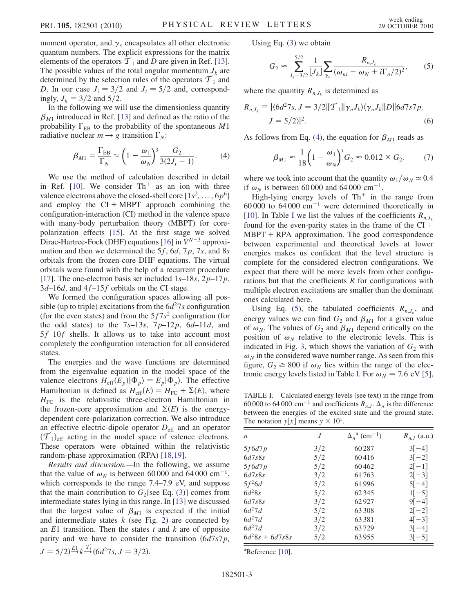moment operator, and  $\gamma_s$  encapsulates all other electronic quantum numbers. The explicit expressions for the matrix elements of the operators  $\overline{T}_1$  and D are given in Ref. [[13\]](#page-3-11). The possible values of the total angular momentum  $J_k$  are determined by the selection rules of the operators  $\mathcal{T}_1$  and D. In our case  $J_i = 3/2$  and  $J_t = 5/2$  and, correspondingly,  $J_k = 3/2$  and  $5/2$ .

<span id="page-2-0"></span>In the following we will use the dimensionless quantity  $\beta_{M1}$  introduced in Ref. [\[13\]](#page-3-11) and defined as the ratio of the probability  $\Gamma_{EB}$  to the probability of the spontaneous M1 radiative nuclear  $m \rightarrow g$  transition  $\Gamma_N$ :

$$
\beta_{M1} = \frac{\Gamma_{EB}}{\Gamma_N} \approx \left(1 - \frac{\omega_1}{\omega_N}\right)^3 \frac{G_2}{3(2J_t + 1)}.
$$
 (4)

We use the method of calculation described in detail in Ref. [\[10\]](#page-3-8). We consider  $Th^+$  as an ion with three valence electrons above the closed-shell core  $[1s^2, \ldots, 6p^6]$ and employ the  $CI + MBPT$  approach combining the configuration-interaction (CI) method in the valence space with many-body perturbation theory (MBPT) for corepolarization effects [[15](#page-3-13)]. At the first stage we solved Dirac-Hartree-Fock (DHF) equations [[16](#page-3-14)] in  $V^{N-3}$  approximation and then we determined the  $5f$ ,  $6d$ ,  $7p$ ,  $7s$ , and  $8s$ orbitals from the frozen-core DHF equations. The virtual orbitals were found with the help of a recurrent procedure [\[17\]](#page-3-15). The one-electron basis set included  $1s-18s$ ,  $2p-17p$ ,  $3d-16d$ , and  $4f-15f$  orbitals on the CI stage.

We formed the configuration spaces allowing all possible (up to triple) excitations from the  $6d^27s$  configuration (for the even states) and from the  $5f7s^2$  configuration (for the odd states) to the  $7s-13s$ ,  $7p-12p$ ,  $6d-11d$ , and 5f–10f shells. It allows us to take into account most completely the configuration interaction for all considered states.

The energies and the wave functions are determined from the eigenvalue equation in the model space of the valence electrons  $H_{\text{eff}}(E_p)|\Phi_p\rangle = E_p|\Phi_p\rangle$ . The effective Hamiltonian is defined as  $H_{\text{eff}}(E) = H_{\text{FC}} + \Sigma(E)$ , where  $H_{FC}$  is the relativistic three-electron Hamiltonian in the frozen-core approximation and  $\Sigma(E)$  is the energydependent core-polarization correction. We also introduce an effective electric-dipole operator  $D_{\text{eff}}$  and an operator  $(\mathcal{T}_1)_{\text{eff}}$  acting in the model space of valence electrons. These operators were obtained within the relativistic random-phase approximation (RPA) [\[18](#page-3-16)[,19\]](#page-3-17).

Results and discussion.—In the following, we assume that the value of  $\omega_N$  is between 60 000 and 64 000 cm<sup>-1</sup>, which corresponds to the range 7.4–7.9 eV, and suppose that the main contribution to  $G_2$ [see Eq. ([3](#page-1-1))] comes from intermediate states lying in this range. In [\[13\]](#page-3-11) we discussed that the largest value of  $\beta_{M1}$  is expected if the initial and intermediate states  $k$  (see Fig. [2](#page-1-0)) are connected by an  $E1$  transition. Then the states t and k are of opposite parity and we have to consider the transition  $\left(\frac{6d}{7s^7p}\right)$ ,  $J = 5/2 \frac{E_1}{r} k \frac{T_1}{r} (6d^2 7s, J = 3/2).$ 

<span id="page-2-2"></span>Using Eq. [\(3](#page-1-1)) we obtain

$$
G_2 \approx \sum_{J_k=3/2}^{5/2} \frac{1}{[J_k]} \sum_{\gamma_n} \frac{R_{n,J_k}}{(\omega_{ni} - \omega_N + i \Gamma_n/2)^2},
$$
 (5)

where the quantity  $R_{n,J_k}$  is determined as

$$
R_{n,J_k} \equiv |\langle 6d^27s, J = 3/2||\mathcal{T}_1||\gamma_n J_k \rangle \langle \gamma_n J_k||D||6d7s7p,
$$
  

$$
J = 5/2 \rangle|^2.
$$
 (6)

As follows from Eq. ([4](#page-2-0)), the equation for  $\beta_{M1}$  reads as

$$
\beta_{M1} \approx \frac{1}{18} \left( 1 - \frac{\omega_1}{\omega_N} \right)^3 G_2 \approx 0.012 \times G_2, \tag{7}
$$

where we took into account that the quantity  $\omega_1/\omega_N \simeq 0.4$ if  $\omega_N$  is between 60 000 and 64 000 cm<sup>-1</sup>.

High-lying energy levels of  $Th<sup>+</sup>$  in the range from 60 000 to 64 000  $\text{cm}^{-1}$  were determined theoretically in [\[10\]](#page-3-8). [I](#page-2-1)n Table I we list the values of the coefficients  $R_{n,J,k}$ found for the even-parity states in the frame of the  $CI +$  $MBPT + RPA$  approximation. The good correspondence between experimental and theoretical levels at lower energies makes us confident that the level structure is complete for the considered electron configurations. We expect that there will be more levels from other configurations but that the coefficients  $R$  for configurations with multiple electron excitations are smaller than the dominant ones calculated here.

Using Eq. ([5\)](#page-2-2), the tabulated coefficients  $R_{n,J_k}$ , and energy values we can find  $G_2$  and  $\beta_{M1}$  for a given value of  $\omega_N$ . The values of  $G_2$  and  $\beta_{M1}$  depend critically on the position of  $\omega_N$  relative to the electronic levels. This is indicated in Fig. [3](#page-3-18), which shows the variation of  $G_2$  with  $\omega_N$  in the considered wave number range. As seen from this figure,  $G_2 \geq 800$  if  $\omega_N$  lies within the range of the elec-tronic energy levels listed in Table [I.](#page-2-1) For  $\omega_N$  = 7.6 eV [[5](#page-3-3)],

<span id="page-2-1"></span>TABLE I. Calculated energy levels (see text) in the range from 60 000 to 64 000 cm<sup>-1</sup> and coefficients  $R_{n,J}$ .  $\Delta_n$  is the difference between the energies of the excited state and the ground state. The notation  $y[x]$  means  $y \times 10^x$ .

| n                 | J   | $\Delta_n^{\ a}$ (cm <sup>-1</sup> ) | $R_{n,J}$ (a.u.) |
|-------------------|-----|--------------------------------------|------------------|
| 5f6d7p            | 3/2 | 60287                                | $3 -4 $          |
| 6d7s8s            | 5/2 | 60416                                | $3[-2]$          |
| 5f6d7p            | 5/2 | 60462                                | $2[-1]$          |
| 6d7s8s            | 3/2 | 61763                                | $2[-3]$          |
| $5f^26d$          | 5/2 | 61996                                | $5[-4]$          |
| $6d^28s$          | 5/2 | 62345                                | $1[-5]$          |
| 6d7s8s            | 3/2 | 62927                                | $9[-4]$          |
| $6d^27d$          | 5/2 | 63308                                | $2[-2]$          |
| $6d^27d$          | 3/2 | 63381                                | $4[-3]$          |
| $6d^27d$          | 3/2 | 63729                                | $3[-4]$          |
| $6d^28s + 6d7s8s$ | 5/2 | 63955                                | $3[-5]$          |

<sup>a</sup>Reference [[10](#page-3-8)].